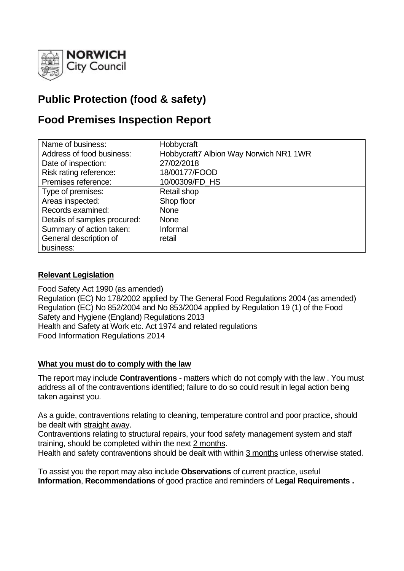

# **Public Protection (food & safety)**

## **Food Premises Inspection Report**

| Name of business:            | Hobbycraft                             |
|------------------------------|----------------------------------------|
|                              |                                        |
| Address of food business:    | Hobbycraft7 Albion Way Norwich NR1 1WR |
| Date of inspection:          | 27/02/2018                             |
| Risk rating reference:       | 18/00177/FOOD                          |
| Premises reference:          | 10/00309/FD HS                         |
| Type of premises:            | Retail shop                            |
| Areas inspected:             | Shop floor                             |
| Records examined:            | <b>None</b>                            |
| Details of samples procured: | <b>None</b>                            |
| Summary of action taken:     | Informal                               |
| General description of       | retail                                 |
| business:                    |                                        |

## **Relevant Legislation**

Food Safety Act 1990 (as amended) Regulation (EC) No 178/2002 applied by The General Food Regulations 2004 (as amended) Regulation (EC) No 852/2004 and No 853/2004 applied by Regulation 19 (1) of the Food Safety and Hygiene (England) Regulations 2013 Health and Safety at Work etc. Act 1974 and related regulations Food Information Regulations 2014

#### **What you must do to comply with the law**

The report may include **Contraventions** - matters which do not comply with the law . You must address all of the contraventions identified; failure to do so could result in legal action being taken against you.

As a guide, contraventions relating to cleaning, temperature control and poor practice, should be dealt with straight away.

Contraventions relating to structural repairs, your food safety management system and staff training, should be completed within the next 2 months.

Health and safety contraventions should be dealt with within 3 months unless otherwise stated.

To assist you the report may also include **Observations** of current practice, useful **Information**, **Recommendations** of good practice and reminders of **Legal Requirements .**